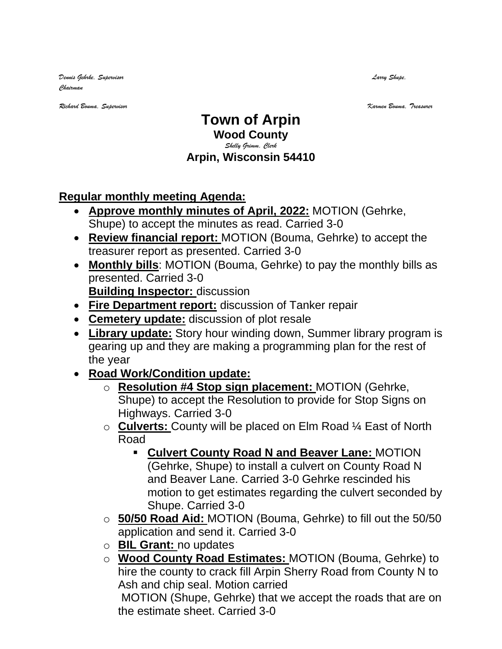*Dennis Gehrke, Supervisor Larry Shupe, Chairman* 

*Richard Bouma, Supervisor Karmen Bouma, Treasurer*

## **Town of Arpin Wood County**

## *Shelly Grimm, Clerk* **Arpin, Wisconsin 54410**

## **Regular monthly meeting Agenda:**

- **Approve monthly minutes of April, 2022:** MOTION (Gehrke, Shupe) to accept the minutes as read. Carried 3-0
- **Review financial report:** MOTION (Bouma, Gehrke) to accept the treasurer report as presented. Carried 3-0
- **Monthly bills**: MOTION (Bouma, Gehrke) to pay the monthly bills as presented. Carried 3-0 **Building Inspector:** discussion
- **Fire Department report:** discussion of Tanker repair
- **Cemetery update:** discussion of plot resale
- **Library update:** Story hour winding down, Summer library program is gearing up and they are making a programming plan for the rest of the year
- **Road Work/Condition update:**
	- o **Resolution #4 Stop sign placement:** MOTION (Gehrke, Shupe) to accept the Resolution to provide for Stop Signs on Highways. Carried 3-0
	- o **Culverts:** County will be placed on Elm Road ¼ East of North Road
		- **Culvert County Road N and Beaver Lane:** MOTION (Gehrke, Shupe) to install a culvert on County Road N and Beaver Lane. Carried 3-0 Gehrke rescinded his motion to get estimates regarding the culvert seconded by Shupe. Carried 3-0
	- o **50/50 Road Aid:** MOTION (Bouma, Gehrke) to fill out the 50/50 application and send it. Carried 3-0
	- o **BIL Grant:** no updates
	- o **Wood County Road Estimates:** MOTION (Bouma, Gehrke) to hire the county to crack fill Arpin Sherry Road from County N to Ash and chip seal. Motion carried

MOTION (Shupe, Gehrke) that we accept the roads that are on the estimate sheet. Carried 3-0